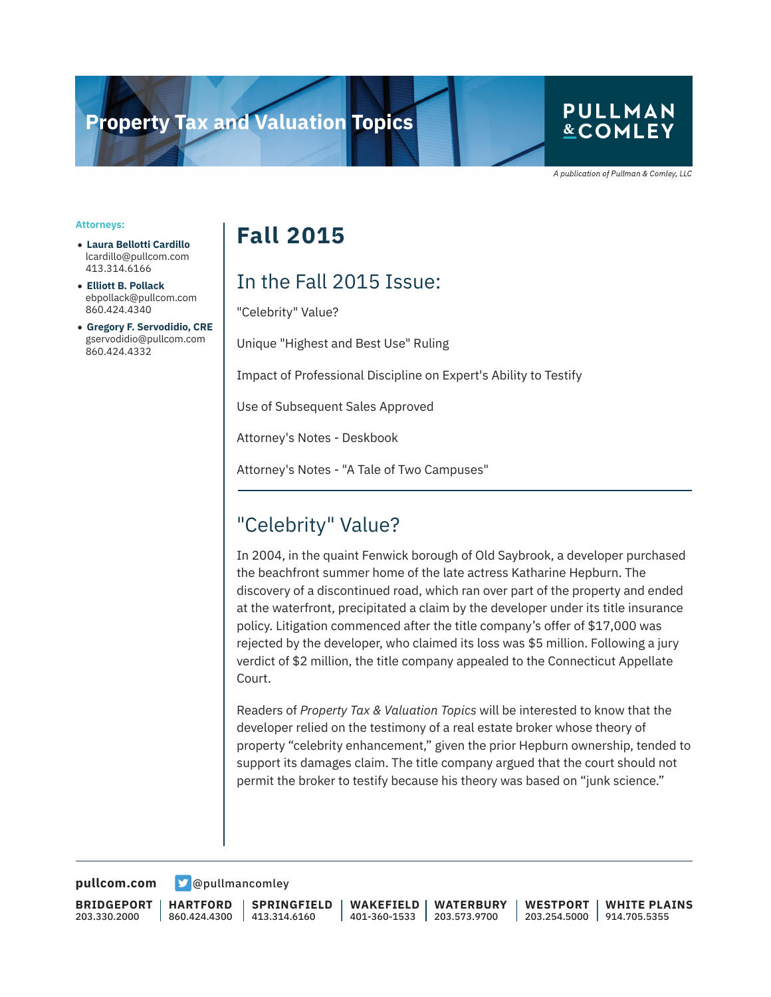# **Property Tax and Valuation Topics**

l

#### **PULLMAN &COMLEY**

A publication of Pullman & Comley, LLC

#### **Attorneys:**

- **Laura Bellotti Cardillo** lcardillo@pullcom.com 413.314.6166
- **Elliott B. Pollack** ebpollack@pullcom.com 860.424.4340
- **Gregory F. Servodidio, CRE** gservodidio@pullcom.com 860.424.4332

# **Fall 2015**

## In the Fall 2015 Issue:

"Celebrity" Value?

Unique "Highest and Best Use" Ruling

Impact of Professional Discipline on Expert's Ability to Testify

Use of Subsequent Sales Approved

Attorney's Notes - Deskbook

Attorney's Notes - "A Tale of Two Campuses"

#### "Celebrity" Value?

In 2004, in the quaint Fenwick borough of Old Saybrook, a developer purchased the beachfront summer home of the late actress Katharine Hepburn. The discovery of a discontinued road, which ran over part of the property and ended at the waterfront, precipitated a claim by the developer under its title insurance policy. Litigation commenced after the title company's offer of \$17,000 was rejected by the developer, who claimed its loss was \$5 million. Following a jury verdict of \$2 million, the title company appealed to the Connecticut Appellate Court.

Readers of *Property Tax & Valuation Topics* will be interested to know that the developer relied on the testimony of a real estate broker whose theory of property "celebrity enhancement," given the prior Hepburn ownership, tended to support its damages claim. The title company argued that the court should not permit the broker to testify because his theory was based on "junk science."

**[pullcom.com](https://www.pullcom.com) g** [@pullmancomley](https://twitter.com/PullmanComley)

**BRIDGEPORT** 203.330.2000

**HARTFORD** 860.424.4300

**SPRINGFIELD** 413.314.6160

**WAKEFIELD** 401-360-1533 **WATERBURY** 203.573.9700

**WESTPORT** 203.254.5000 914.705.5355 **WHITE PLAINS**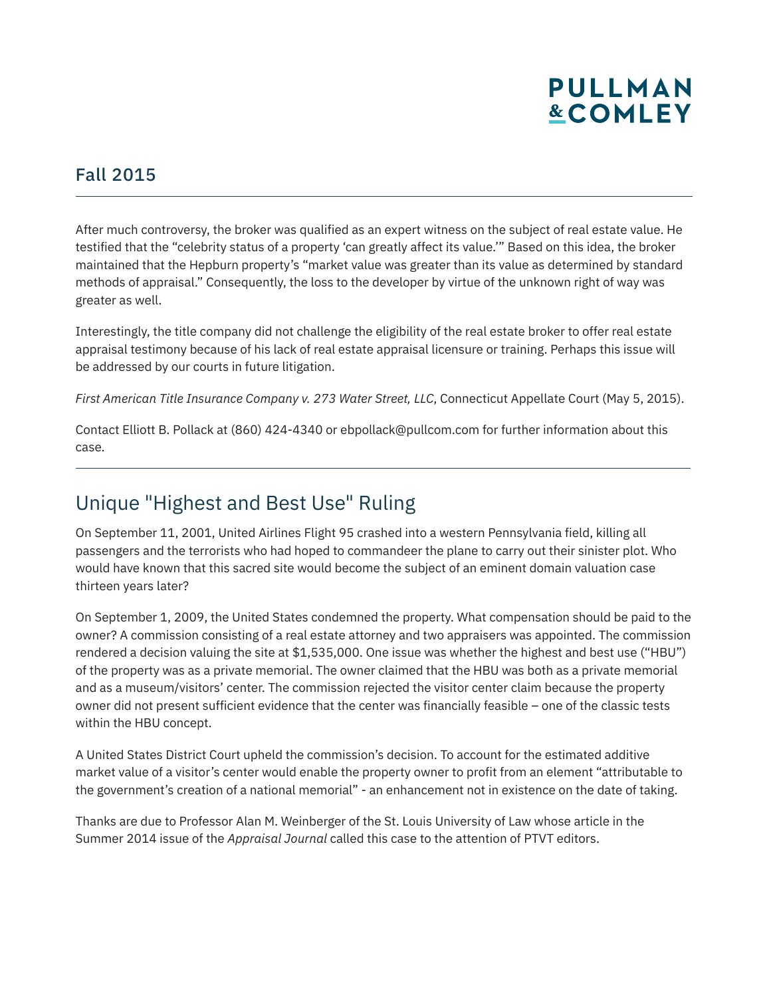# **PULLMAN &COMLEY**

#### Fall 2015

l

After much controversy, the broker was qualified as an expert witness on the subject of real estate value. He testified that the "celebrity status of a property 'can greatly affect its value.'" Based on this idea, the broker maintained that the Hepburn property's "market value was greater than its value as determined by standard methods of appraisal." Consequently, the loss to the developer by virtue of the unknown right of way was greater as well.

Interestingly, the title company did not challenge the eligibility of the real estate broker to offer real estate appraisal testimony because of his lack of real estate appraisal licensure or training. Perhaps this issue will be addressed by our courts in future litigation.

*First American Title Insurance Company v. 273 Water Street, LLC*, Connecticut Appellate Court (May 5, 2015).

Contact Elliott B. Pollack at (860) 424-4340 or ebpollack@pullcom.com for further information about this case.

### Unique "Highest and Best Use" Ruling

On September 11, 2001, United Airlines Flight 95 crashed into a western Pennsylvania field, killing all passengers and the terrorists who had hoped to commandeer the plane to carry out their sinister plot. Who would have known that this sacred site would become the subject of an eminent domain valuation case thirteen years later?

On September 1, 2009, the United States condemned the property. What compensation should be paid to the owner? A commission consisting of a real estate attorney and two appraisers was appointed. The commission rendered a decision valuing the site at \$1,535,000. One issue was whether the highest and best use ("HBU") of the property was as a private memorial. The owner claimed that the HBU was both as a private memorial and as a museum/visitors' center. The commission rejected the visitor center claim because the property owner did not present sufficient evidence that the center was financially feasible – one of the classic tests within the HBU concept.

A United States District Court upheld the commission's decision. To account for the estimated additive market value of a visitor's center would enable the property owner to profit from an element "attributable to the government's creation of a national memorial" - an enhancement not in existence on the date of taking.

Thanks are due to Professor Alan M. Weinberger of the St. Louis University of Law whose article in the Summer 2014 issue of the *Appraisal Journal* called this case to the attention of PTVT editors.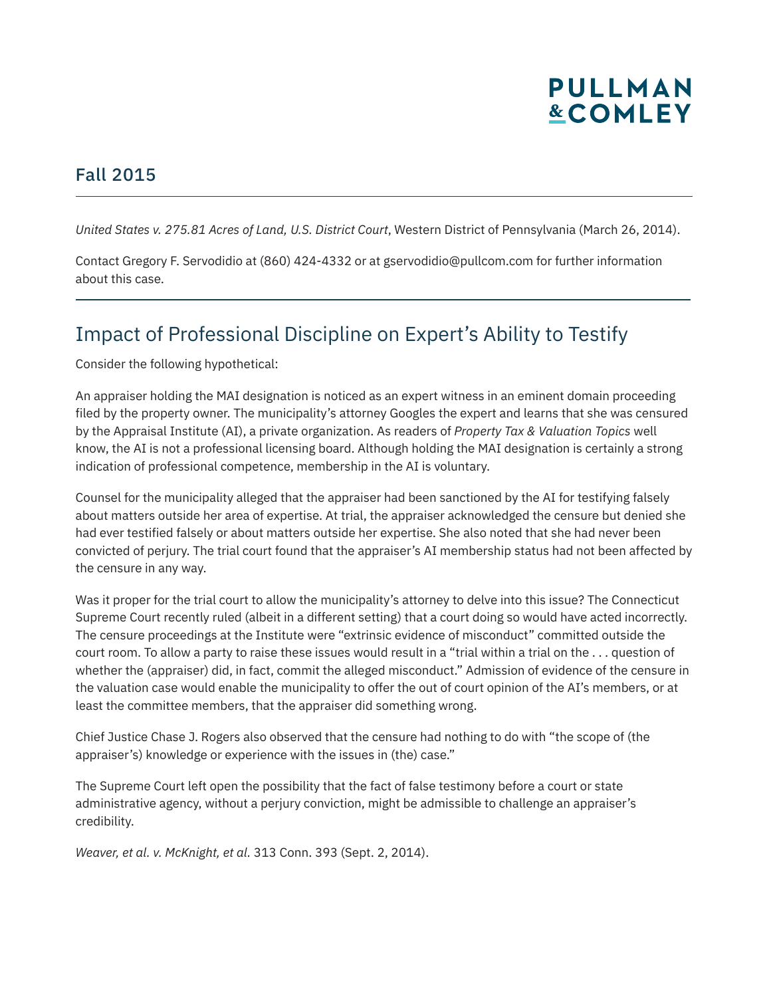

#### Fall 2015

l

*United States v. 275.81 Acres of Land, U.S. District Court*, Western District of Pennsylvania (March 26, 2014).

Contact Gregory F. Servodidio at (860) 424-4332 or at gservodidio@pullcom.com for further information about this case.

### Impact of Professional Discipline on Expert's Ability to Testify

Consider the following hypothetical:

An appraiser holding the MAI designation is noticed as an expert witness in an eminent domain proceeding filed by the property owner. The municipality's attorney Googles the expert and learns that she was censured by the Appraisal Institute (AI), a private organization. As readers of *Property Tax & Valuation Topics* well know, the AI is not a professional licensing board. Although holding the MAI designation is certainly a strong indication of professional competence, membership in the AI is voluntary.

Counsel for the municipality alleged that the appraiser had been sanctioned by the AI for testifying falsely about matters outside her area of expertise. At trial, the appraiser acknowledged the censure but denied she had ever testified falsely or about matters outside her expertise. She also noted that she had never been convicted of perjury. The trial court found that the appraiser's AI membership status had not been affected by the censure in any way.

Was it proper for the trial court to allow the municipality's attorney to delve into this issue? The Connecticut Supreme Court recently ruled (albeit in a different setting) that a court doing so would have acted incorrectly. The censure proceedings at the Institute were "extrinsic evidence of misconduct" committed outside the court room. To allow a party to raise these issues would result in a "trial within a trial on the . . . question of whether the (appraiser) did, in fact, commit the alleged misconduct." Admission of evidence of the censure in the valuation case would enable the municipality to offer the out of court opinion of the AI's members, or at least the committee members, that the appraiser did something wrong.

Chief Justice Chase J. Rogers also observed that the censure had nothing to do with "the scope of (the appraiser's) knowledge or experience with the issues in (the) case."

The Supreme Court left open the possibility that the fact of false testimony before a court or state administrative agency, without a perjury conviction, might be admissible to challenge an appraiser's credibility.

*Weaver, et al. v. McKnight, et al.* 313 Conn. 393 (Sept. 2, 2014).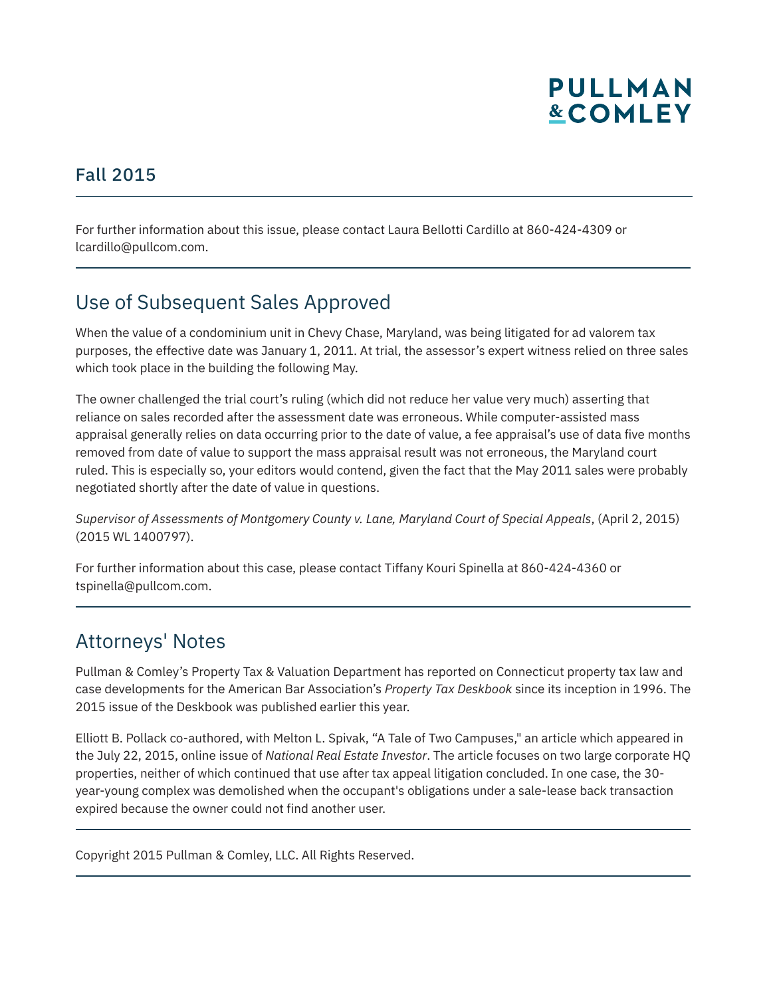

#### Fall 2015

l

l

l

For further information about this issue, please contact Laura Bellotti Cardillo at 860-424-4309 or lcardillo@pullcom.com.

#### Use of Subsequent Sales Approved

When the value of a condominium unit in Chevy Chase, Maryland, was being litigated for ad valorem tax purposes, the effective date was January 1, 2011. At trial, the assessor's expert witness relied on three sales which took place in the building the following May.

The owner challenged the trial court's ruling (which did not reduce her value very much) asserting that reliance on sales recorded after the assessment date was erroneous. While computer-assisted mass appraisal generally relies on data occurring prior to the date of value, a fee appraisal's use of data five months removed from date of value to support the mass appraisal result was not erroneous, the Maryland court ruled. This is especially so, your editors would contend, given the fact that the May 2011 sales were probably negotiated shortly after the date of value in questions.

*Supervisor of Assessments of Montgomery County v. Lane, Maryland Court of Special Appeals*, (April 2, 2015) (2015 WL 1400797).

For further information about this case, please contact Tiffany Kouri Spinella at 860-424-4360 or tspinella@pullcom.com.

#### Attorneys' Notes

Pullman & Comley's Property Tax & Valuation Department has reported on Connecticut property tax law and case developments for the American Bar Association's *Property Tax Deskbook* since its inception in 1996. The 2015 issue of the Deskbook was published earlier this year.

Elliott B. Pollack co-authored, with Melton L. Spivak, "A Tale of Two Campuses," an article which appeared in the July 22, 2015, online issue of *National Real Estate Investor*. The article focuses on two large corporate HQ properties, neither of which continued that use after tax appeal litigation concluded. In one case, the 30 year-young complex was demolished when the occupant's obligations under a sale-lease back transaction expired because the owner could not find another user.

Copyright 2015 Pullman & Comley, LLC. All Rights Reserved.